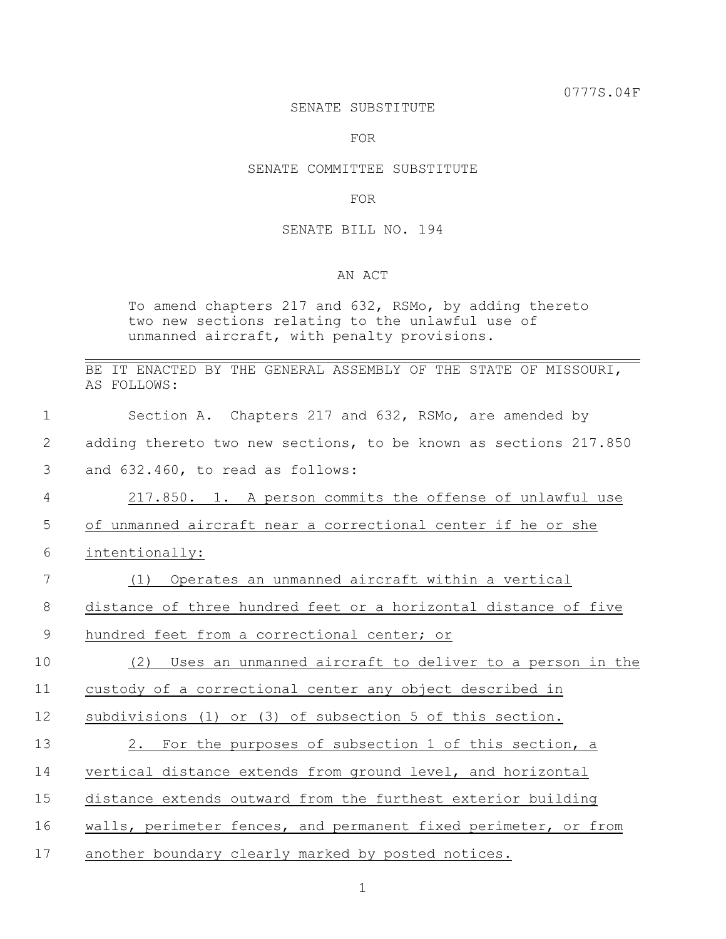0777S.04F

#### SENATE SUBSTITUTE

FOR

# SENATE COMMITTEE SUBSTITUTE

### FOR

### SENATE BILL NO. 194

# AN ACT

To amend chapters 217 and 632, RSMo, by adding thereto two new sections relating to the unlawful use of unmanned aircraft, with penalty provisions.

BE IT ENACTED BY THE GENERAL ASSEMBLY OF THE STATE OF MISSOURI, AS FOLLOWS:

| $\mathbf 1$    | Section A. Chapters 217 and 632, RSMo, are amended by            |
|----------------|------------------------------------------------------------------|
| 2              | adding thereto two new sections, to be known as sections 217.850 |
| 3              | and 632.460, to read as follows:                                 |
| $\overline{4}$ | 217.850. 1. A person commits the offense of unlawful use         |
| 5              | of unmanned aircraft near a correctional center if he or she     |
| 6              | intentionally:                                                   |
| 7              | Operates an unmanned aircraft within a vertical<br>(1)           |
| $8\,$          | distance of three hundred feet or a horizontal distance of five  |
| 9              | hundred feet from a correctional center; or                      |
| 10             | Uses an unmanned aircraft to deliver to a person in the<br>(2)   |
| 11             | custody of a correctional center any object described in         |
| 12             | subdivisions (1) or (3) of subsection 5 of this section.         |
| 13             | 2. For the purposes of subsection 1 of this section, a           |
| 14             | vertical distance extends from ground level, and horizontal      |
| 15             | distance extends outward from the furthest exterior building     |
| 16             | walls, perimeter fences, and permanent fixed perimeter, or from  |
| 17             | another boundary clearly marked by posted notices.               |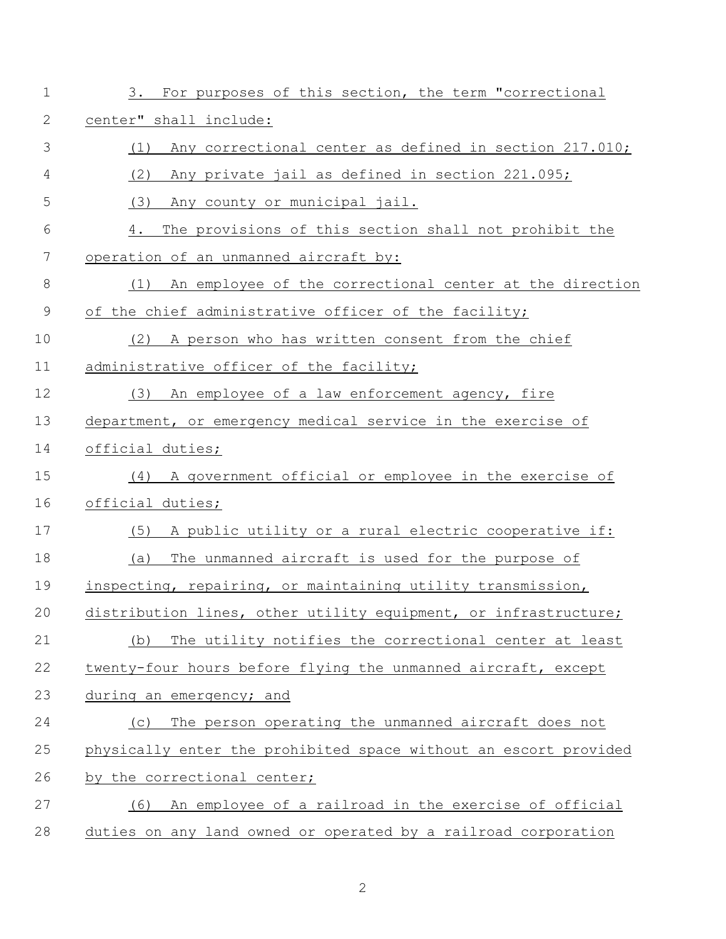| $\mathbf 1$    | 3. For purposes of this section, the term "correctional          |
|----------------|------------------------------------------------------------------|
| 2              | center" shall include:                                           |
| 3              | Any correctional center as defined in section 217.010;<br>(1)    |
| $\overline{4}$ | (2)<br>Any private jail as defined in section 221.095;           |
| 5              | (3)<br>Any county or municipal jail.                             |
| 6              | The provisions of this section shall not prohibit the<br>4.      |
| 7              | operation of an unmanned aircraft by:                            |
| $8\,$          | An employee of the correctional center at the direction<br>(1)   |
| 9              | of the chief administrative officer of the facility;             |
| 10             | (2)<br>A person who has written consent from the chief           |
| 11             | administrative officer of the facility;                          |
| 12             | (3)<br>An employee of a law enforcement agency, fire             |
| 13             | department, or emergency medical service in the exercise of      |
| 14             | official duties;                                                 |
| 15             | A government official or employee in the exercise of<br>(4)      |
| 16             | official duties;                                                 |
| 17             | A public utility or a rural electric cooperative if:<br>(5)      |
| 18             | The unmanned aircraft is used for the purpose of<br>(a)          |
| 19             | inspecting, repairing, or maintaining utility transmission,      |
| 20             | distribution lines, other utility equipment, or infrastructure;  |
| 21             | The utility notifies the correctional center at least<br>(b)     |
| 22             | twenty-four hours before flying the unmanned aircraft, except    |
| 23             | during an emergency; and                                         |
| 24             | The person operating the unmanned aircraft does not<br>(C)       |
| 25             | physically enter the prohibited space without an escort provided |
| 26             | by the correctional center;                                      |
| 27             | An employee of a railroad in the exercise of official<br>(6)     |
| 28             | duties on any land owned or operated by a railroad corporation   |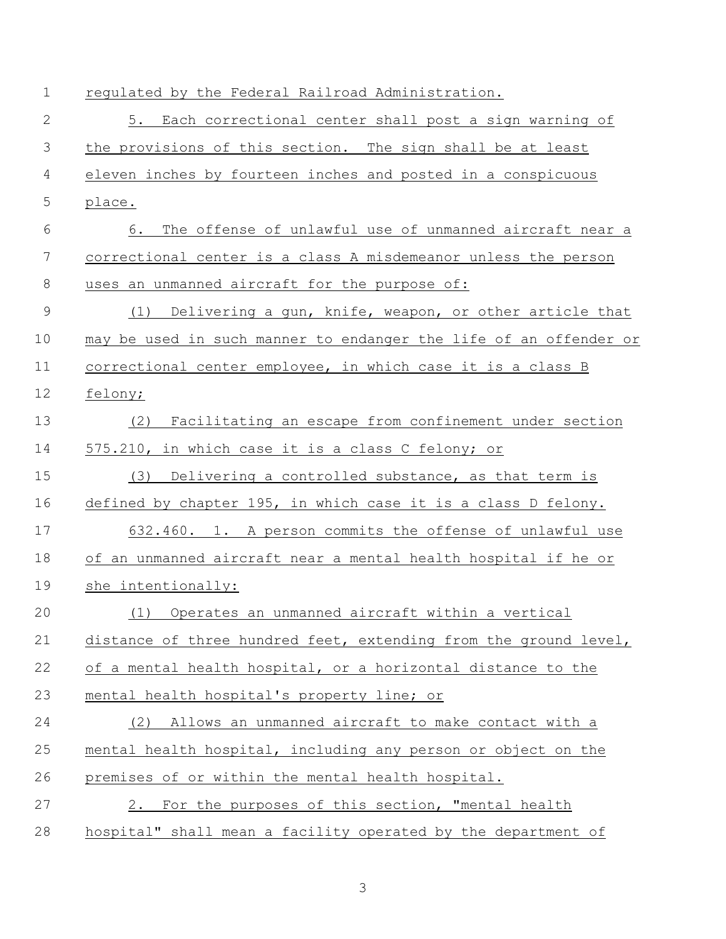| $\mathbf 1$  | regulated by the Federal Railroad Administration.                 |
|--------------|-------------------------------------------------------------------|
| $\mathbf{2}$ | 5. Each correctional center shall post a sign warning of          |
| 3            | the provisions of this section. The sign shall be at least        |
| 4            | eleven inches by fourteen inches and posted in a conspicuous      |
| 5            | place.                                                            |
| 6            | 6. The offense of unlawful use of unmanned aircraft near a        |
| 7            | correctional center is a class A misdemeanor unless the person    |
| 8            | uses an unmanned aircraft for the purpose of:                     |
| $\mathsf 9$  | (1) Delivering a gun, knife, weapon, or other article that        |
| 10           | may be used in such manner to endanger the life of an offender or |
| 11           | correctional center employee, in which case it is a class B       |
| 12           | felony;                                                           |
| 13           | Facilitating an escape from confinement under section<br>(2)      |
| 14           | 575.210, in which case it is a class C felony; or                 |
| 15           | Delivering a controlled substance, as that term is<br>(3)         |
| 16           | defined by chapter 195, in which case it is a class D felony.     |
| 17           | 632.460. 1. A person commits the offense of unlawful use          |
| 18           | of an unmanned aircraft near a mental health hospital if he or    |
| 19           | she intentionally:                                                |
| 20           | (1) Operates an unmanned aircraft within a vertical               |
| 21           | distance of three hundred feet, extending from the ground level,  |
| 22           | of a mental health hospital, or a horizontal distance to the      |
| 23           | mental health hospital's property line; or                        |
| 24           | (2) Allows an unmanned aircraft to make contact with a            |
| 25           | mental health hospital, including any person or object on the     |
| 26           | premises of or within the mental health hospital.                 |
| 27           | 2. For the purposes of this section, "mental health               |
| 28           | hospital" shall mean a facility operated by the department of     |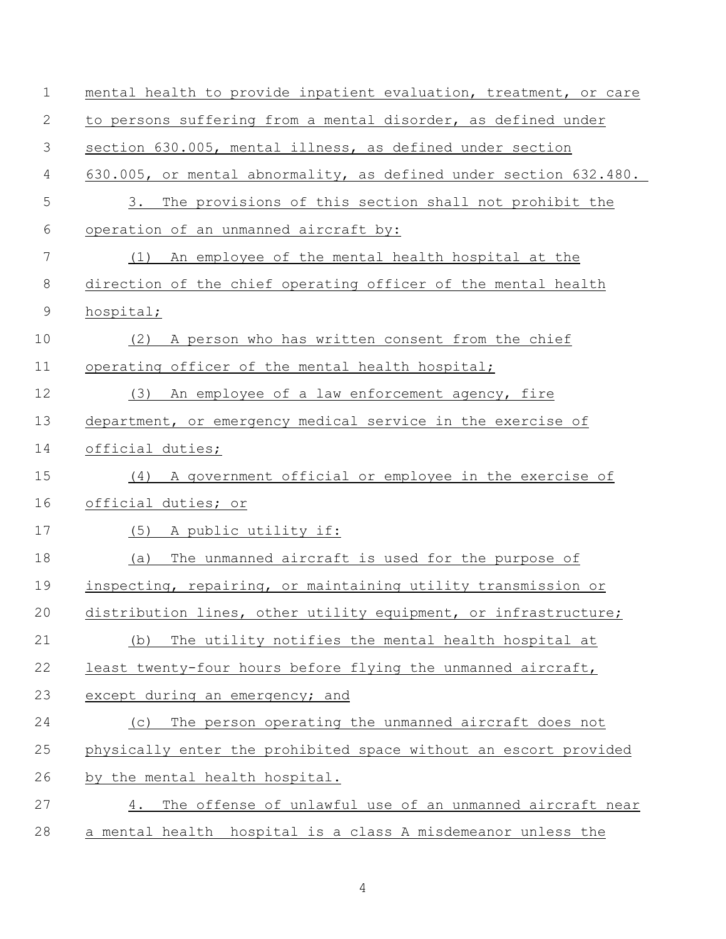| $\mathbf 1$ | mental health to provide inpatient evaluation, treatment, or care |
|-------------|-------------------------------------------------------------------|
| 2           | to persons suffering from a mental disorder, as defined under     |
| 3           | section 630.005, mental illness, as defined under section         |
| 4           | 630.005, or mental abnormality, as defined under section 632.480. |
| 5           | The provisions of this section shall not prohibit the<br>3.       |
| 6           | operation of an unmanned aircraft by:                             |
| 7           | An employee of the mental health hospital at the<br>(1)           |
| $8\,$       | direction of the chief operating officer of the mental health     |
| $\mathsf 9$ | hospital;                                                         |
| 10          | A person who has written consent from the chief<br>(2)            |
| 11          | operating officer of the mental health hospital;                  |
| 12          | An employee of a law enforcement agency, fire<br>(3)              |
| 13          | department, or emergency medical service in the exercise of       |
| 14          | official duties;                                                  |
| 15          | (4) A government official or employee in the exercise of          |
| 16          | official duties; or                                               |
| 17          | (5) A public utility if:                                          |
| 18          | The unmanned aircraft is used for the purpose of<br>(a)           |
| 19          | inspecting, repairing, or maintaining utility transmission or     |
| 20          | distribution lines, other utility equipment, or infrastructure;   |
| 21          | The utility notifies the mental health hospital at<br>(b)         |
| 22          | least twenty-four hours before flying the unmanned aircraft,      |
| 23          | except during an emergency; and                                   |
| 24          | The person operating the unmanned aircraft does not<br>(C)        |
| 25          | physically enter the prohibited space without an escort provided  |
| 26          | by the mental health hospital.                                    |
| 27          | The offense of unlawful use of an unmanned aircraft near<br>4.    |
| 28          | a mental health hospital is a class A misdemeanor unless the      |